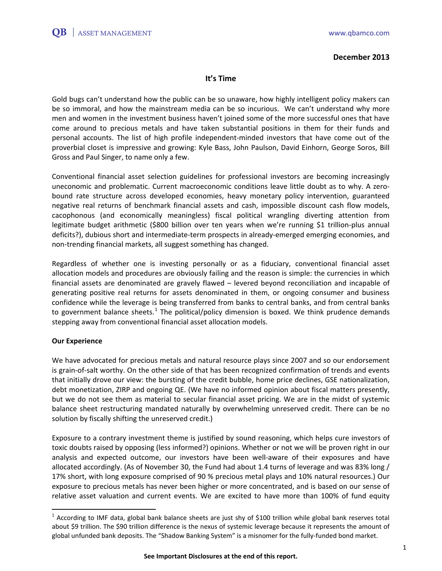### **December 2013**

## **It's Time**

Gold bugs can't understand how the public can be so unaware, how highly intelligent policy makers can be so immoral, and how the mainstream media can be so incurious. We can't understand why more men and women in the investment business haven't joined some of the more successful ones that have come around to precious metals and have taken substantial positions in them for their funds and personal accounts. The list of high profile independent-minded investors that have come out of the proverbial closet is impressive and growing: Kyle Bass, John Paulson, David Einhorn, George Soros, Bill Gross and Paul Singer, to name only a few.

Conventional financial asset selection guidelines for professional investors are becoming increasingly uneconomic and problematic. Current macroeconomic conditions leave little doubt as to why. A zerobound rate structure across developed economies, heavy monetary policy intervention, guaranteed negative real returns of benchmark financial assets and cash, impossible discount cash flow models, cacophonous (and economically meaningless) fiscal political wrangling diverting attention from legitimate budget arithmetic (\$800 billion over ten years when we're running \$1 trillion-plus annual deficits?), dubious short and intermediate-term prospects in already-emerged emerging economies, and non-trending financial markets, all suggest something has changed.

Regardless of whether one is investing personally or as a fiduciary, conventional financial asset allocation models and procedures are obviously failing and the reason is simple: the currencies in which financial assets are denominated are gravely flawed – levered beyond reconciliation and incapable of generating positive real returns for assets denominated in them, or ongoing consumer and business confidence while the leverage is being transferred from banks to central banks, and from central banks to government balance sheets.<sup>[1](#page-0-0)</sup> The political/policy dimension is boxed. We think prudence demands stepping away from conventional financial asset allocation models.

## **Our Experience**

We have advocated for precious metals and natural resource plays since 2007 and so our endorsement is grain-of-salt worthy. On the other side of that has been recognized confirmation of trends and events that initially drove our view: the bursting of the credit bubble, home price declines, GSE nationalization, debt monetization, ZIRP and ongoing QE. (We have no informed opinion about fiscal matters presently, but we do not see them as material to secular financial asset pricing. We are in the midst of systemic balance sheet restructuring mandated naturally by overwhelming unreserved credit. There can be no solution by fiscally shifting the unreserved credit.)

Exposure to a contrary investment theme is justified by sound reasoning, which helps cure investors of toxic doubts raised by opposing (less informed?) opinions. Whether or not we will be proven right in our analysis and expected outcome, our investors have been well-aware of their exposures and have allocated accordingly. (As of November 30, the Fund had about 1.4 turns of leverage and was 83% long / 17% short, with long exposure comprised of 90 % precious metal plays and 10% natural resources.) Our exposure to precious metals has never been higher or more concentrated, and is based on our sense of relative asset valuation and current events. We are excited to have more than 100% of fund equity

<span id="page-0-0"></span> $1$  According to IMF data, global bank balance sheets are just shy of \$100 trillion while global bank reserves total about \$9 trillion. The \$90 trillion difference is the nexus of systemic leverage because it represents the amount of global unfunded bank deposits. The "Shadow Banking System" is a misnomer for the fully-funded bond market.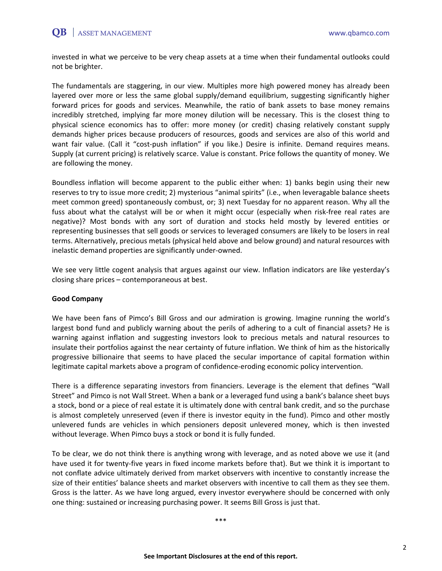# $QB$  | ASSET MANAGEMENT www.qbamco.com

invested in what we perceive to be very cheap assets at a time when their fundamental outlooks could not be brighter.

The fundamentals are staggering, in our view. Multiples more high powered money has already been layered over more or less the same global supply/demand equilibrium, suggesting significantly higher forward prices for goods and services. Meanwhile, the ratio of bank assets to base money remains incredibly stretched, implying far more money dilution will be necessary. This is the closest thing to physical science economics has to offer: more money (or credit) chasing relatively constant supply demands higher prices because producers of resources, goods and services are also of this world and want fair value. (Call it "cost-push inflation" if you like.) Desire is infinite. Demand requires means. Supply (at current pricing) is relatively scarce. Value is constant. Price follows the quantity of money. We are following the money.

Boundless inflation will become apparent to the public either when: 1) banks begin using their new reserves to try to issue more credit; 2) mysterious "animal spirits" (i.e., when leveragable balance sheets meet common greed) spontaneously combust, or; 3) next Tuesday for no apparent reason. Why all the fuss about what the catalyst will be or when it might occur (especially when risk-free real rates are negative)? Most bonds with any sort of duration and stocks held mostly by levered entities or representing businesses that sell goods or services to leveraged consumers are likely to be losers in real terms. Alternatively, precious metals (physical held above and below ground) and natural resources with inelastic demand properties are significantly under-owned.

We see very little cogent analysis that argues against our view. Inflation indicators are like yesterday's closing share prices – contemporaneous at best.

#### **Good Company**

We have been fans of Pimco's Bill Gross and our admiration is growing. Imagine running the world's largest bond fund and publicly warning about the perils of adhering to a cult of financial assets? He is warning against inflation and suggesting investors look to precious metals and natural resources to insulate their portfolios against the near certainty of future inflation. We think of him as the historically progressive billionaire that seems to have placed the secular importance of capital formation within legitimate capital markets above a program of confidence-eroding economic policy intervention.

There is a difference separating investors from financiers. Leverage is the element that defines "Wall Street" and Pimco is not Wall Street. When a bank or a leveraged fund using a bank's balance sheet buys a stock, bond or a piece of real estate it is ultimately done with central bank credit, and so the purchase is almost completely unreserved (even if there is investor equity in the fund). Pimco and other mostly unlevered funds are vehicles in which pensioners deposit unlevered money, which is then invested without leverage. When Pimco buys a stock or bond it is fully funded.

To be clear, we do not think there is anything wrong with leverage, and as noted above we use it (and have used it for twenty-five years in fixed income markets before that). But we think it is important to not conflate advice ultimately derived from market observers with incentive to constantly increase the size of their entities' balance sheets and market observers with incentive to call them as they see them. Gross is the latter. As we have long argued, every investor everywhere should be concerned with only one thing: sustained or increasing purchasing power. It seems Bill Gross is just that.

\*\*\*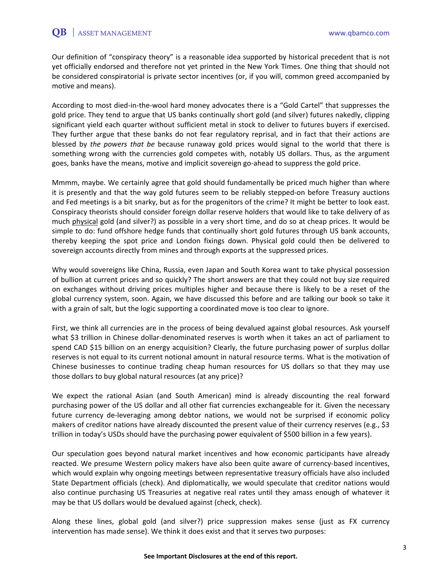Our definition of "conspiracy theory" is a reasonable idea supported by historical precedent that is not yet officially endorsed and therefore not yet printed in the New York Times. One thing that should not be considered conspiratorial is private sector incentives (or, if you will, common greed accompanied by motive and means).

According to most died-in-the-wool hard money advocates there is a "Gold Cartel" that suppresses the gold price. They tend to argue that US banks continually short gold (and silver) futures nakedly, clipping significant yield each quarter without sufficient metal in stock to deliver to futures buyers if exercised. They further argue that these banks do not fear regulatory reprisal, and in fact that their actions are blessed by *the powers that be* because runaway gold prices would signal to the world that there is something wrong with the currencies gold competes with, notably US dollars. Thus, as the argument goes, banks have the means, motive and implicit sovereign go-ahead to suppress the gold price.

Mmmm, maybe. We certainly agree that gold should fundamentally be priced much higher than where it is presently and that the way gold futures seem to be reliably stepped-on before Treasury auctions and Fed meetings is a bit snarky, but as for the progenitors of the crime? It might be better to look east. Conspiracy theorists should consider foreign dollar reserve holders that would like to take delivery of as much physical gold (and silver?) as possible in a very short time, and do so at cheap prices. It would be simple to do: fund offshore hedge funds that continually short gold futures through US bank accounts, thereby keeping the spot price and London fixings down. Physical gold could then be delivered to sovereign accounts directly from mines and through exports at the suppressed prices.

Why would sovereigns like China, Russia, even Japan and South Korea want to take physical possession of bullion at current prices and so quickly? The short answers are that they could not buy size required on exchanges without driving prices multiples higher and because there is likely to be a reset of the global currency system, soon. Again, we have discussed this before and are talking our book so take it with a grain of salt, but the logic supporting a coordinated move is too clear to ignore.

First, we think all currencies are in the process of being devalued against global resources. Ask yourself what \$3 trillion in Chinese dollar-denominated reserves is worth when it takes an act of parliament to spend CAD \$15 billion on an energy acquisition? Clearly, the future purchasing power of surplus dollar reserves is not equal to its current notional amount in natural resource terms. What is the motivation of Chinese businesses to continue trading cheap human resources for US dollars so that they may use those dollars to buy global natural resources (at any price)?

We expect the rational Asian (and South American) mind is already discounting the real forward purchasing power of the US dollar and all other fiat currencies exchangeable for it. Given the necessary future currency de-leveraging among debtor nations, we would not be surprised if economic policy makers of creditor nations have already discounted the present value of their currency reserves (e.g., \$3 trillion in today's USDs should have the purchasing power equivalent of \$500 billion in a few years).

Our speculation goes beyond natural market incentives and how economic participants have already reacted. We presume Western policy makers have also been quite aware of currency-based incentives, which would explain why ongoing meetings between representative treasury officials have also included State Department officials (check). And diplomatically, we would speculate that creditor nations would also continue purchasing US Treasuries at negative real rates until they amass enough of whatever it may be that US dollars would be devalued against (check, check).

Along these lines, global gold (and silver?) price suppression makes sense (just as FX currency intervention has made sense). We think it does exist and that it serves two purposes: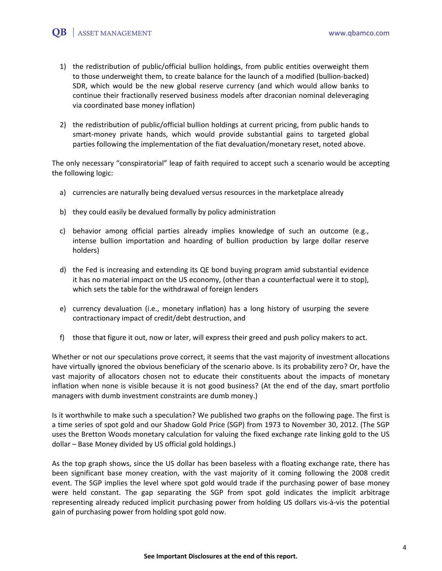- 1) the redistribution of public/official bullion holdings, from public entities overweight them to those underweight them, to create balance for the launch of a modified (bullion-backed) SDR, which would be the new global reserve currency (and which would allow banks to continue their fractionally reserved business models after draconian nominal deleveraging via coordinated base money inflation)
- 2) the redistribution of public/official bullion holdings at current pricing, from public hands to smart-money private hands, which would provide substantial gains to targeted global parties following the implementation of the fiat devaluation/monetary reset, noted above.

The only necessary "conspiratorial" leap of faith required to accept such a scenario would be accepting the following logic:

- a) currencies are naturally being devalued versus resources in the marketplace already
- b) they could easily be devalued formally by policy administration
- c) behavior among official parties already implies knowledge of such an outcome (e.g., intense bullion importation and hoarding of bullion production by large dollar reserve holders)
- d) the Fed is increasing and extending its QE bond buying program amid substantial evidence it has no material impact on the US economy, (other than a counterfactual were it to stop), which sets the table for the withdrawal of foreign lenders
- e) currency devaluation (i.e., monetary inflation) has a long history of usurping the severe contractionary impact of credit/debt destruction, and
- f) those that figure it out, now or later, will express their greed and push policy makers to act.

Whether or not our speculations prove correct, it seems that the vast majority of investment allocations have virtually ignored the obvious beneficiary of the scenario above. Is its probability zero? Or, have the vast majority of allocators chosen not to educate their constituents about the impacts of monetary inflation when none is visible because it is not good business? (At the end of the day, smart portfolio managers with dumb investment constraints are dumb money.)

Is it worthwhile to make such a speculation? We published two graphs on the following page. The first is a time series of spot gold and our Shadow Gold Price (SGP) from 1973 to November 30, 2012. (The SGP uses the Bretton Woods monetary calculation for valuing the fixed exchange rate linking gold to the US dollar – Base Money divided by US official gold holdings.)

As the top graph shows, since the US dollar has been baseless with a floating exchange rate, there has been significant base money creation, with the vast majority of it coming following the 2008 credit event. The SGP implies the level where spot gold would trade if the purchasing power of base money were held constant. The gap separating the SGP from spot gold indicates the implicit arbitrage representing already reduced implicit purchasing power from holding US dollars vis-à-vis the potential gain of purchasing power from holding spot gold now.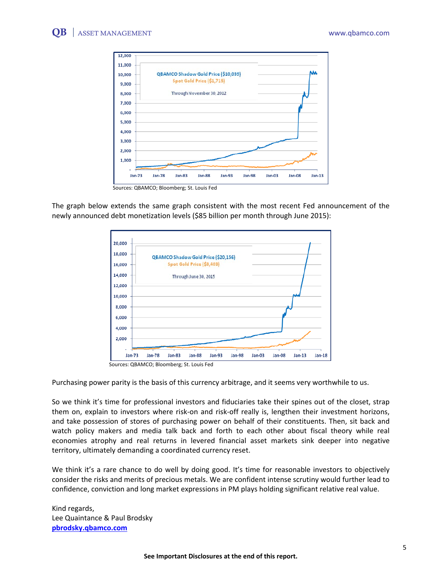

Sources: QBAMCO; Bloomberg; St. Louis Fed

The graph below extends the same graph consistent with the most recent Fed announcement of the newly announced debt monetization levels (\$85 billion per month through June 2015):



Sources: QBAMCO; Bloomberg; St. Louis Fed

Purchasing power parity is the basis of this currency arbitrage, and it seems very worthwhile to us.

So we think it's time for professional investors and fiduciaries take their spines out of the closet, strap them on, explain to investors where risk-on and risk-off really is, lengthen their investment horizons, and take possession of stores of purchasing power on behalf of their constituents. Then, sit back and watch policy makers and media talk back and forth to each other about fiscal theory while real economies atrophy and real returns in levered financial asset markets sink deeper into negative territory, ultimately demanding a coordinated currency reset.

We think it's a rare chance to do well by doing good. It's time for reasonable investors to objectively consider the risks and merits of precious metals. We are confident intense scrutiny would further lead to confidence, conviction and long market expressions in PM plays holding significant relative real value.

Kind regards, Lee Quaintance & Paul Brodsky **[pbrodsky.qbamco.com](http://www.qbamco.com/)**